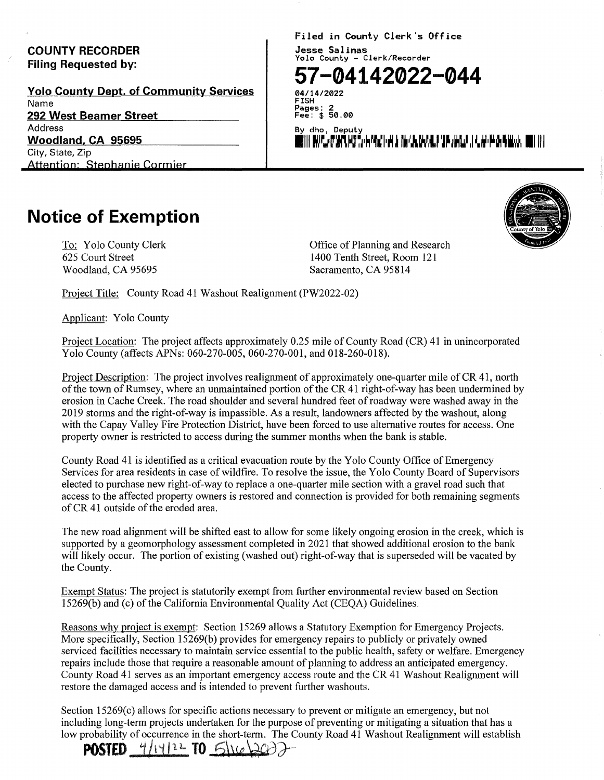## COUNTY RECORDER Filing Requested by:

Volo County Dept. of Community Services Name 292 West Beamer Street Address Woodland, CA 95695 City, State, Zip Attention: Stephanie Cormier

Filed in County Clerk's Office Jesse Salinas Yolo County - Clerk/Recorder

## **57-04142022-044**

04/14/2022 FISH Pages: 2 Fee: \$ 50.00

By dho, Deputy 1111 rJJ. Janjan ja 1. martin ja 1. martin ja 1. martin ja 1. martin ja 1. martin ja 1. martin j

## **Notice of Exemption**

To: Yolo County Clerk 625 Court Street Woodland, CA 95695

Office of Planning and Research 1400 Tenth Street, Room 121 Sacramento, CA 95814

Project Title: County Road 41 Washout Realignment (PW2022-02)

Applicant: Yolo County

Project Location: The project affects approximately 0.25 mile of County Road (CR) 41 in unincorporated Yolo County (affects APNs: 060-270-005, 060-270-001, and 018-260-018).

Project Description: The project involves realignment of approximately one-quarter mile of CR 41, north of the town of Rumsey, where an unmaintained portion of the CR 41 right-of-way has been undermined by erosion in Cache Creek. The road shoulder and several hundred feet of roadway were washed away in the 2019 storms and the right-of-way is impassible. As a result, landowners affected by the washout, along with the Capay Valley Fire Protection District, have been forced to use alternative routes for access. One property owner is restricted to access during the summer months when the bank is stable.

County Road 41 is identified as a critical evacuation route by the Yolo County Office of Emergency Services for area residents in case of wildfire. To resolve the issue, the Yolo County Board of Supervisors elected to purchase new right-of-way to replace a one-quarter mile section with a gravel road such that access to the affected property owners is restored and connection is provided for both remaining segments of CR 41 outside of the eroded area.

The new road alignment will be shifted east to allow for some likely ongoing erosion in the creek, which is supported by a geomorphology assessment completed in 2021 that showed additional erosion to the bank will likely occur. The portion of existing (washed out) right-of-way that is superseded will be vacated by the County.

Exempt Status: The project is statutorily exempt from further environmental review based on Section 15269(b) and (c) of the California Environmental Quality Act (CEQA) Guidelines.

Reasons why project is exempt: Section 15269 allows a Statutory Exemption for Emergency Projects. More specifically, Section 15269(b) provides for emergency repairs to publicly or privately owned serviced facilities necessary to maintain service essential to the public health, safety or welfare. Emergency repairs include those that require a reasonable amount of planning to address an anticipated emergency. County Road 41 serves as an important emergency access route and the CR 41 Washout Realignment will restore the damaged access and is intended to prevent further washouts.

Section 15269(c) allows for specific actions necessary to prevent or mitigate an emergency, but not including long-term projects undertaken for the purpose of preventing or mitigating a situation that has a low probability of occurrence in the short-term. The County Road 41 Washout Realignment will establish